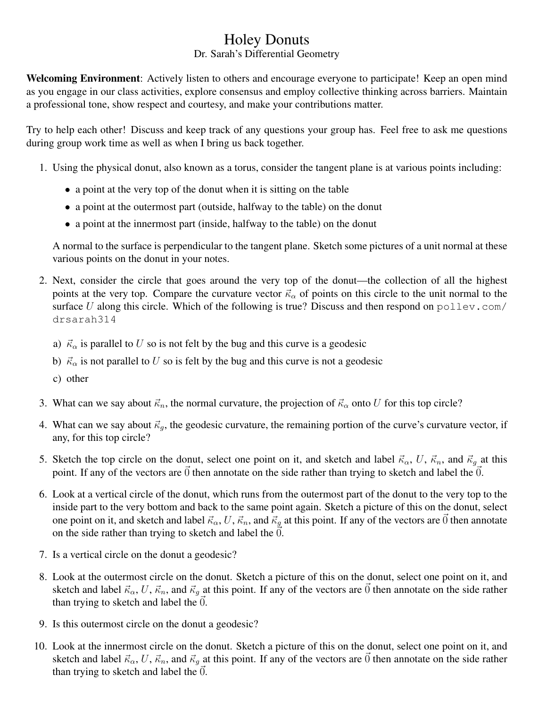## Holey Donuts

## Dr. Sarah's Differential Geometry

Welcoming Environment: Actively listen to others and encourage everyone to participate! Keep an open mind as you engage in our class activities, explore consensus and employ collective thinking across barriers. Maintain a professional tone, show respect and courtesy, and make your contributions matter.

Try to help each other! Discuss and keep track of any questions your group has. Feel free to ask me questions during group work time as well as when I bring us back together.

- 1. Using the physical donut, also known as a torus, consider the tangent plane is at various points including:
	- a point at the very top of the donut when it is sitting on the table
	- a point at the outermost part (outside, halfway to the table) on the donut
	- a point at the innermost part (inside, halfway to the table) on the donut

A normal to the surface is perpendicular to the tangent plane. Sketch some pictures of a unit normal at these various points on the donut in your notes.

- 2. Next, consider the circle that goes around the very top of the donut—the collection of all the highest points at the very top. Compare the curvature vector  $\vec{\kappa}_{\alpha}$  of points on this circle to the unit normal to the surface U along this circle. Which of the following is true? Discuss and then respond on  $p$ ollev.com/ drsarah314
	- a)  $\vec{\kappa}_{\alpha}$  is parallel to U so is not felt by the bug and this curve is a geodesic
	- b)  $\vec{\kappa}_{\alpha}$  is not parallel to U so is felt by the bug and this curve is not a geodesic
	- c) other
- 3. What can we say about  $\vec{\kappa}_n$ , the normal curvature, the projection of  $\vec{\kappa}_\alpha$  onto U for this top circle?
- 4. What can we say about  $\vec{\kappa}_q$ , the geodesic curvature, the remaining portion of the curve's curvature vector, if any, for this top circle?
- 5. Sketch the top circle on the donut, select one point on it, and sketch and label  $\vec{\kappa}_{\alpha}$ , U,  $\vec{\kappa}_n$ , and  $\vec{\kappa}_g$  at this point. If any of the vectors are  $\vec{0}$  then annotate on the side rather than trying to sketch and label the  $\vec{0}$ .
- 6. Look at a vertical circle of the donut, which runs from the outermost part of the donut to the very top to the inside part to the very bottom and back to the same point again. Sketch a picture of this on the donut, select one point on it, and sketch and label  $\vec{\kappa}_{\alpha}$ , U,  $\vec{\kappa}_n$ , and  $\vec{\kappa}_q$  at this point. If any of the vectors are  $\vec{0}$  then annotate on the side rather than trying to sketch and label the  $0$ .
- 7. Is a vertical circle on the donut a geodesic?
- 8. Look at the outermost circle on the donut. Sketch a picture of this on the donut, select one point on it, and sketch and label  $\vec{\kappa}_{\alpha}$ , U,  $\vec{\kappa}_n$ , and  $\vec{\kappa}_q$  at this point. If any of the vectors are  $\vec{0}$  then annotate on the side rather than trying to sketch and label the  $\ddot{0}$ .
- 9. Is this outermost circle on the donut a geodesic?
- 10. Look at the innermost circle on the donut. Sketch a picture of this on the donut, select one point on it, and sketch and label  $\vec{\kappa}_{\alpha}$ , U,  $\vec{\kappa}_n$ , and  $\vec{\kappa}_g$  at this point. If any of the vectors are  $\vec{0}$  then annotate on the side rather than trying to sketch and label the  $\vec{0}$ .